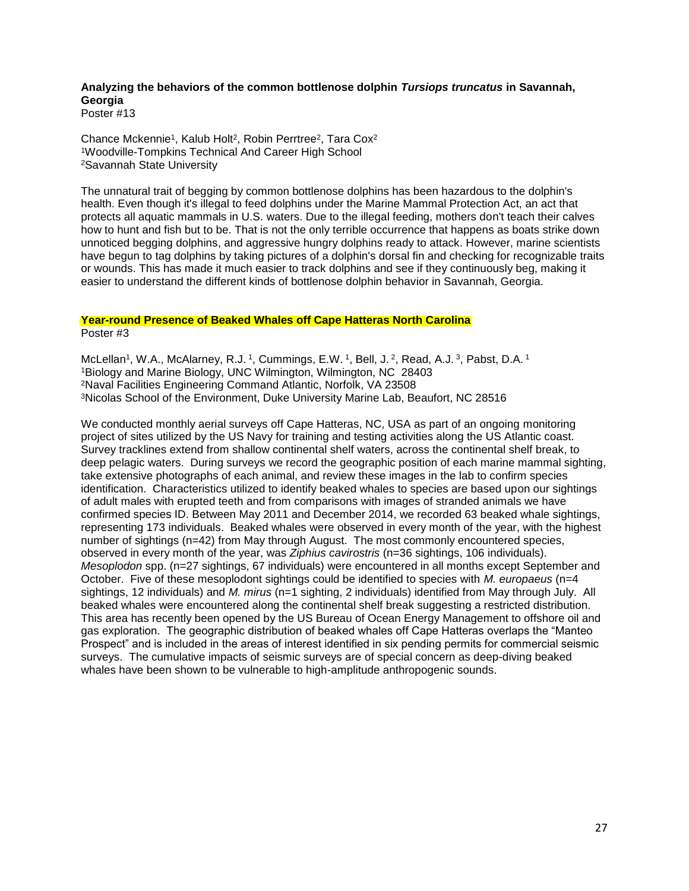## **Analyzing the behaviors of the common bottlenose dolphin** *Tursiops truncatus* **in Savannah, Georgia**

Poster #13

Chance Mckennie<sup>1</sup>, Kalub Holt<sup>2</sup>, Robin Perrtree<sup>2</sup>, Tara Cox<sup>2</sup> <sup>1</sup>Woodville-Tompkins Technical And Career High School <sup>2</sup>Savannah State University

The unnatural trait of begging by common bottlenose dolphins has been hazardous to the dolphin's health. Even though it's illegal to feed dolphins under the Marine Mammal Protection Act, an act that protects all aquatic mammals in U.S. waters. Due to the illegal feeding, mothers don't teach their calves how to hunt and fish but to be. That is not the only terrible occurrence that happens as boats strike down unnoticed begging dolphins, and aggressive hungry dolphins ready to attack. However, marine scientists have begun to tag dolphins by taking pictures of a dolphin's dorsal fin and checking for recognizable traits or wounds. This has made it much easier to track dolphins and see if they continuously beg, making it easier to understand the different kinds of bottlenose dolphin behavior in Savannah, Georgia.

## **Year-round Presence of Beaked Whales off Cape Hatteras North Carolina**

Poster #3

McLellan<sup>1</sup>, W.A., McAlarney, R.J. <sup>1</sup>, Cummings, E.W. <sup>1</sup>, Bell, J. <sup>2</sup>, Read, A.J. <sup>3</sup>, Pabst, D.A. <sup>1</sup> Biology and Marine Biology, UNC Wilmington, Wilmington, NC 28403 Naval Facilities Engineering Command Atlantic, Norfolk, VA 23508 Nicolas School of the Environment, Duke University Marine Lab, Beaufort, NC 28516

We conducted monthly aerial surveys off Cape Hatteras, NC, USA as part of an ongoing monitoring project of sites utilized by the US Navy for training and testing activities along the US Atlantic coast. Survey tracklines extend from shallow continental shelf waters, across the continental shelf break, to deep pelagic waters. During surveys we record the geographic position of each marine mammal sighting, take extensive photographs of each animal, and review these images in the lab to confirm species identification. Characteristics utilized to identify beaked whales to species are based upon our sightings of adult males with erupted teeth and from comparisons with images of stranded animals we have confirmed species ID. Between May 2011 and December 2014, we recorded 63 beaked whale sightings, representing 173 individuals. Beaked whales were observed in every month of the year, with the highest number of sightings (n=42) from May through August. The most commonly encountered species, observed in every month of the year, was *Ziphius cavirostris* (n=36 sightings, 106 individuals). *Mesoplodon* spp. (n=27 sightings, 67 individuals) were encountered in all months except September and October. Five of these mesoplodont sightings could be identified to species with *M. europaeus* (n=4 sightings, 12 individuals) and *M. mirus* (n=1 sighting, 2 individuals) identified from May through July. All beaked whales were encountered along the continental shelf break suggesting a restricted distribution. This area has recently been opened by the US Bureau of Ocean Energy Management to offshore oil and gas exploration. The geographic distribution of beaked whales off Cape Hatteras overlaps the "Manteo Prospect" and is included in the areas of interest identified in six pending permits for commercial seismic surveys. The cumulative impacts of seismic surveys are of special concern as deep-diving beaked whales have been shown to be vulnerable to high-amplitude anthropogenic sounds.